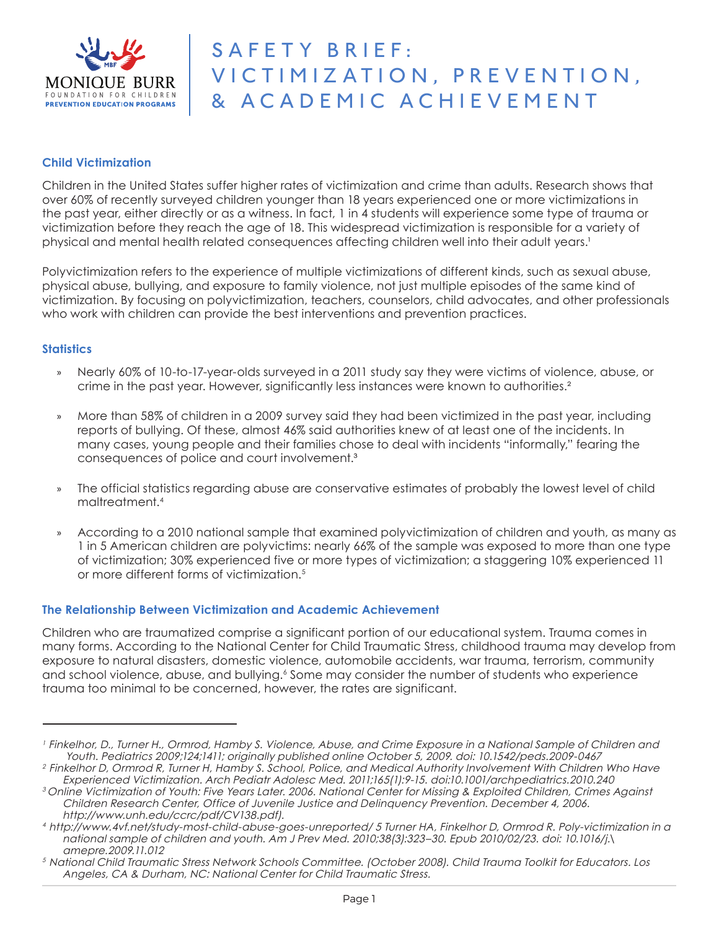

#### **Child Victimization**

Children in the United States suffer higher rates of victimization and crime than adults. Research shows that over 60% of recently surveyed children younger than 18 years experienced one or more victimizations in the past year, either directly or as a witness. In fact, 1 in 4 students will experience some type of trauma or victimization before they reach the age of 18. This widespread victimization is responsible for a variety of physical and mental health related consequences affecting children well into their adult years.<sup>1</sup>

Polyvictimization refers to the experience of multiple victimizations of different kinds, such as sexual abuse, physical abuse, bullying, and exposure to family violence, not just multiple episodes of the same kind of victimization. By focusing on polyvictimization, teachers, counselors, child advocates, and other professionals who work with children can provide the best interventions and prevention practices.

#### **Statistics**

- » Nearly 60% of 10-to-17-year-olds surveyed in a 2011 study say they were victims of violence, abuse, or crime in the past year. However, significantly less instances were known to authorities.²
- » More than 58% of children in a 2009 survey said they had been victimized in the past year, including reports of bullying. Of these, almost 46% said authorities knew of at least one of the incidents. In many cases, young people and their families chose to deal with incidents "informally," fearing the consequences of police and court involvement.³
- » The official statistics regarding abuse are conservative estimates of probably the lowest level of child maltreatment.4
- » According to a 2010 national sample that examined polyvictimization of children and youth, as many as 1 in 5 American children are polyvictims: nearly 66% of the sample was exposed to more than one type of victimization; 30% experienced five or more types of victimization; a staggering 10% experienced 11 or more different forms of victimization.5

#### **The Relationship Between Victimization and Academic Achievement**

Children who are traumatized comprise a significant portion of our educational system. Trauma comes in many forms. According to the National Center for Child Traumatic Stress, childhood trauma may develop from exposure to natural disasters, domestic violence, automobile accidents, war trauma, terrorism, community and school violence, abuse, and bullying.<sup>6</sup> Some may consider the number of students who experience trauma too minimal to be concerned, however, the rates are significant.

<sup>1</sup> Finkelhor, D., Turner H., Ormrod, Hamby S. Violence, Abuse, and Crime Exposure in a National Sample of Children and Youth. Pediatrics 2009;124;1411; originally published online October 5, 2009. doi: 10.1542/peds.2009-0467 <sup>2</sup>Finkelhor D, Ormrod R, Turner H, Hamby S. School, Police, and Medical Authority Involvement With Children Who Have

Experienced Victimization. Arch Pediatr Adolesc Med. 2011;165(1):9-15. doi:10.1001/archpediatrics.2010.240

<sup>&</sup>lt;sup>3</sup> Online Victimization of Youth: Five Years Later. 2006. National Center for Missing & Exploited Children, Crimes Against Children Research Center, Office of Juvenile Justice and Delinquency Prevention. December 4, 2006. http://www.unh.edu/ccrc/pdf/CV138.pdf).

<sup>4</sup>http://www.4vf.net/study-most-child-abuse-goes-unreported/ 5 Turner HA, Finkelhor D, Ormrod R. Poly-victimization in a national sample of children and youth. Am J Prev Med. 2010;38(3):323–30. Epub 2010/02/23. doi: 10.1016/j.\ amepre.2009.11.012

<sup>&</sup>lt;sup>5</sup> National Child Traumatic Stress Network Schools Committee. (October 2008). Child Trauma Toolkit for Educators. Los Angeles, CA & Durham, NC: National Center for Child Traumatic Stress.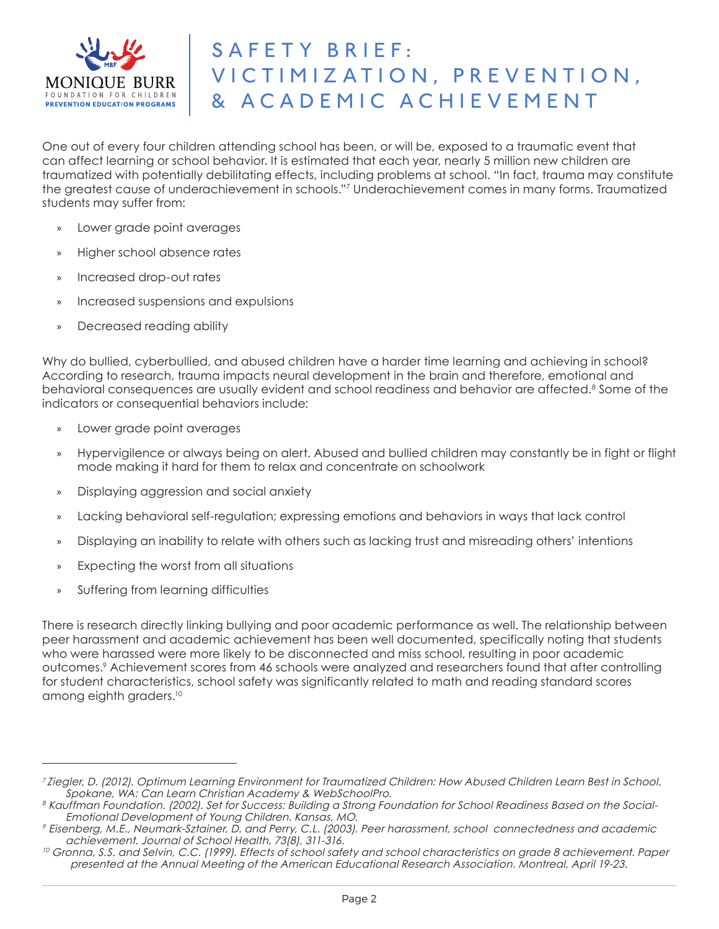

One out of every four children attending school has been, or will be, exposed to a traumatic event that can affect learning or school behavior. It is estimated that each year, nearly 5 million new children are traumatized with potentially debilitating effects, including problems at school. "In fact, trauma may constitute the greatest cause of underachievement in schools."7 Underachievement comes in many forms. Traumatized students may suffer from:

- » Lower grade point averages
- » Higher school absence rates
- » Increased drop-out rates
- » Increased suspensions and expulsions
- » Decreased reading ability

Why do bullied, cyberbullied, and abused children have a harder time learning and achieving in school? According to research, trauma impacts neural development in the brain and therefore, emotional and behavioral consequences are usually evident and school readiness and behavior are affected.8 Some of the indicators or consequential behaviors include:

- » Lower grade point averages
- » Hypervigilence or always being on alert. Abused and bullied children may constantly be in fight or flight mode making it hard for them to relax and concentrate on schoolwork
- » Displaying aggression and social anxiety
- » Lacking behavioral self-regulation; expressing emotions and behaviors in ways that lack control
- » Displaying an inability to relate with others such as lacking trust and misreading others' intentions
- » Expecting the worst from all situations
- » Suffering from learning difficulties

There is research directly linking bullying and poor academic performance as well. The relationship between peer harassment and academic achievement has been well documented, specifically noting that students who were harassed were more likely to be disconnected and miss school, resulting in poor academic outcomes.9 Achievement scores from 46 schools were analyzed and researchers found that after controlling for student characteristics, school safety was significantly related to math and reading standard scores among eighth graders.10

<sup>&</sup>lt;sup>7</sup>Ziegler, D. (2012). Optimum Learning Environment for Traumatized Children: How Abused Children Learn Best in School. Spokane, WA: Can Learn Christian Academy & WebSchoolPro.

<sup>8</sup> Kauffman Foundation. (2002). Set for Success: Building a Strong Foundation for School Readiness Based on the Social- Emotional Development of Young Children. Kansas, MO.

 $^{\circ}$  Eisenberg, M.E., Neumark-Sztainer, D. and Perry, C.L. (2003). Peer harassment, school connectedness and academic achievement. Journal of School Health, 73(8), 311-316.

 $10$  Gronna, S.S. and Selvin, C.C. (1999). Effects of school safety and school characteristics on grade 8 achievement. Paper presented at the Annual Meeting of the American Educational Research Association. Montreal, April 19-23.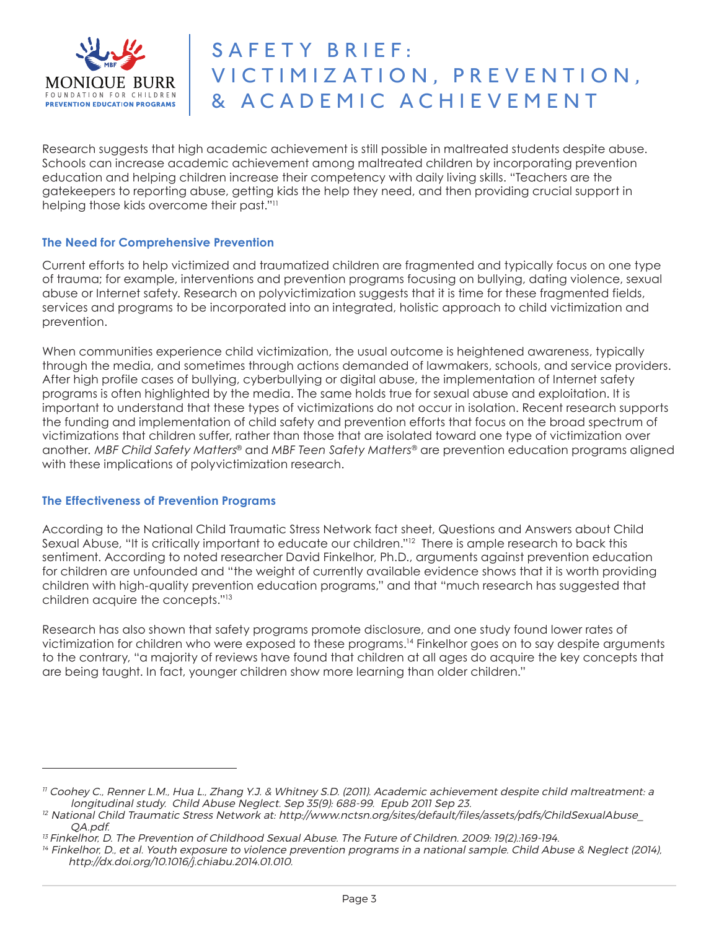

Research suggests that high academic achievement is still possible in maltreated students despite abuse. Schools can increase academic achievement among maltreated children by incorporatina prevention education and helping children increase their competency with daily living skills. "Teachers are the gatekeepers to reporting abuse, getting kids the help they need, and then providing crucial support in helping those kids overcome their past."<sup>11</sup>

### **The Need for Comprehensive Prevention**

Current efforts to help victimized and traumatized children are fragmented and typically focus on one type of trauma; for example, interventions and prevention programs focusing on bullying, dating violence, sexual abuse or Internet safety. Research on polyvictimization suggests that it is time for these fragmented fields, services and programs to be incorporated into an integrated, holistic approach to child victimization and prevention.

When communities experience child victimization, the usual outcome is heightened awareness, typically through the media, and sometimes through actions demanded of lawmakers, schools, and service providers. After high profile cases of bullying, cyberbullying or digital abuse, the implementation of Internet safety programs is often highlighted by the media. The same holds true for sexual abuse and exploitation. It is important to understand that these types of victimizations do not occur in isolation. Recent research supports the funding and implementation of child safety and prevention efforts that focus on the broad spectrum of victimizations that children suffer, rather than those that are isolated toward one type of victimization over another. MBF Child Safety Matters® and *MBF Teen Safety Matters®* are prevention education programs aligned with these implications of polyvictimization research.

#### **The Effectiveness of Prevention Programs**

According to the National Child Traumatic Stress Network fact sheet, Questions and Answers about Child Sexual Abuse, "It is critically important to educate our children."<sup>12</sup> There is ample research to back this sentiment. According to noted researcher David Finkelhor, Ph.D., arguments against prevention education for children are unfounded and "the weight of currently available evidence shows that it is worth providing children with high-quality prevention education programs," and that "much research has suggested that children acquire the concepts."13

Research has also shown that safety programs promote disclosure, and one study found lower rates of victimization for children who were exposed to these programs.14 Finkelhor goes on to say despite arguments to the contrary, "a majority of reviews have found that children at all ages do acquire the key concepts that are being taught. In fact, younger children show more learning than older children."

<sup>11</sup> Coohey C., Renner L.M., Hua L., Zhang Y.J. & Whitney S.D. (2011). Academic achievement despite child maltreatment: a longitudinal study. Child Abuse Neglect. Sep 35(9): 688-99. Epub 2011 Sep 23.

 $^{12}$  National Child Traumatic Stress Network at: http://www.nctsn.org/sites/default/files/assets/pdfs/ChildSexualAbuse QA.pdf.

<sup>&</sup>lt;sup>13</sup> Finkelhor, D. The Prevention of Childhood Sexual Abuse. The Future of Children. 2009: 19(2).:169-194.

 $14$  Finkelhor, D., et al. Youth exposure to violence prevention programs in a national sample. Child Abuse & Neglect (2014), http://dx.doi.org/10.1016/j.chiabu.2014.01.010.